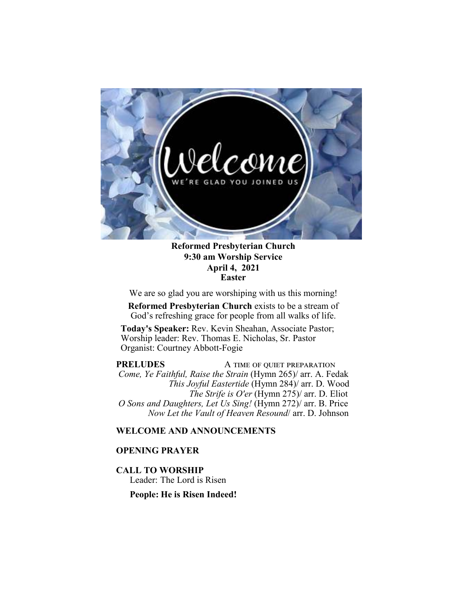

**Reformed Presbyterian Church 9:30 am Worship Service April 4, 2021 Easter** 

We are so glad you are worshiping with us this morning!

**Reformed Presbyterian Church** exists to be a stream of God's refreshing grace for people from all walks of life.

**Today's Speaker:** Rev. Kevin Sheahan, Associate Pastor; Worship leader: Rev. Thomas E. Nicholas, Sr. Pastor Organist: Courtney Abbott-Fogie

**PRELUDES** A TIME OF QUIET PREPARATION *Come, Ye Faithful, Raise the Strain* (Hymn 265)/ arr. A. Fedak  *This Joyful Eastertide* (Hymn 284)/ arr. D. Wood  *The Strife is O'er* (Hymn 275)/ arr. D. Eliot  *O Sons and Daughters, Let Us Sing!* (Hymn 272)/ arr. B. Price  *Now Let the Vault of Heaven Resound*/ arr. D. Johnson

**WELCOME AND ANNOUNCEMENTS** 

### **OPENING PRAYER**

## **CALL TO WORSHIP**

Leader: The Lord is Risen

**People: He is Risen Indeed!**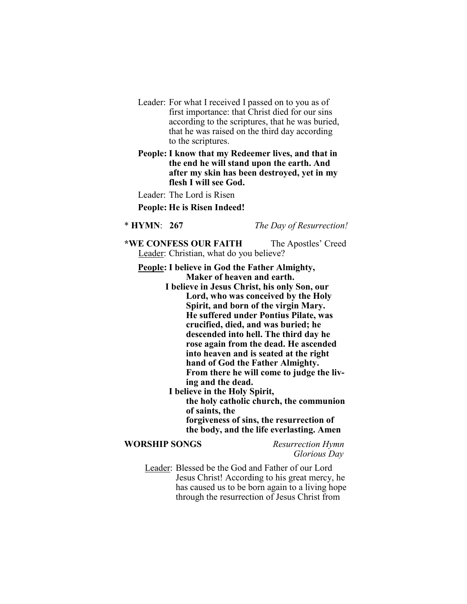- Leader: For what I received I passed on to you as of first importance: that Christ died for our sins according to the scriptures, that he was buried, that he was raised on the third day according to the scriptures.
- **People: I know that my Redeemer lives, and that in the end he will stand upon the earth. And after my skin has been destroyed, yet in my flesh I will see God.**

Leader: The Lord is Risen

**People: He is Risen Indeed!**

\* **HYMN**: **267** *The Day of Resurrection!*

**\*WE CONFESS OUR FAITH** The Apostles' Creed Leader: Christian, what do you believe?

**People: I believe in God the Father Almighty, Maker of heaven and earth. I believe in Jesus Christ, his only Son, our Lord, who was conceived by the Holy Spirit, and born of the virgin Mary. He suffered under Pontius Pilate, was crucified, died, and was buried; he descended into hell. The third day he rose again from the dead. He ascended into heaven and is seated at the right hand of God the Father Almighty. From there he will come to judge the living and the dead.**

**I believe in the Holy Spirit, the holy catholic church, the communion of saints, the forgiveness of sins, the resurrection of the body, and the life everlasting. Amen**

**WORSHIP SONGS** *Resurrection Hymn* 

 *Glorious Day* 

Leader: Blessed be the God and Father of our Lord Jesus Christ! According to his great mercy, he has caused us to be born again to a living hope through the resurrection of Jesus Christ from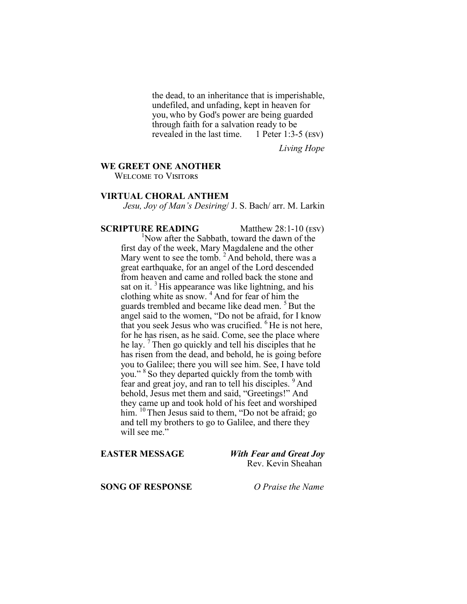the dead, to an inheritance that is imperishable, undefiled, and unfading, kept in heaven for you, who by God's power are being guarded through faith for a salvation ready to be revealed in the last time.  $1$  Peter 1:3-5 (ESV)

 *Living Hope*

#### **WE GREET ONE ANOTHER**

**WELCOME TO VISITORS** 

### **VIRTUAL CHORAL ANTHEM**

*Jesu, Joy of Man's Desiring*/ J. S. Bach/ arr. M. Larkin

#### **SCRIPTURE READING** Matthew 28:1-10 (ESV)

<sup>1</sup>Now after the Sabbath, toward the dawn of the first day of the week, Mary Magdalene and the other Mary went to see the tomb. <sup>2</sup> And behold, there was a great earthquake, for an angel of the Lord descended from heaven and came and rolled back the stone and sat on it.  $3$  His appearance was like lightning, and his clothing white as snow.  $4$  And for fear of him the guards trembled and became like dead men.<sup>5</sup> But the angel said to the women, "Do not be afraid, for I know that you seek Jesus who was crucified. <sup>6</sup>He is not here, for he has risen, as he said. Come, see the place where he lay.  $\frac{7}{1}$  Then go quickly and tell his disciples that he has risen from the dead, and behold, he is going before you to Galilee; there you will see him. See, I have told you."<sup>8</sup> So they departed quickly from the tomb with fear and great joy, and ran to tell his disciples. <sup>9</sup>And behold, Jesus met them and said, "Greetings!" And they came up and took hold of his feet and worshiped him.  $^{10}$  Then Jesus said to them, "Do not be afraid; go and tell my brothers to go to Galilee, and there they will see me."

**EASTER MESSAGE** *With Fear and Great Joy* 

Rev. Kevin Sheahan

**SONG OF RESPONSE** *O Praise the Name*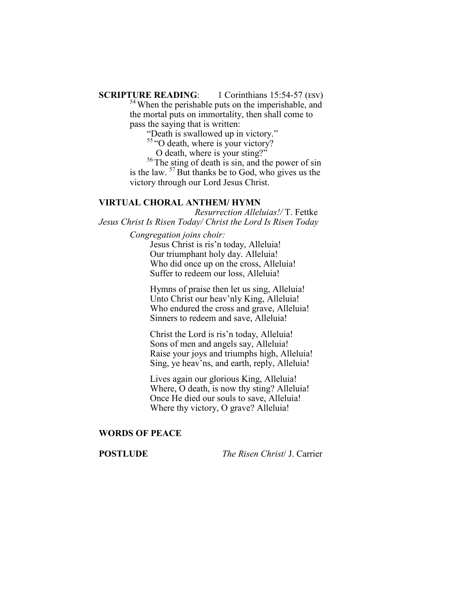**SCRIPTURE READING:** 1 Corinthians 15:54-57 (ESV)

<sup>54</sup> When the perishable puts on the imperishable, and the mortal puts on immortality, then shall come to pass the saying that is written:

"Death is swallowed up in victory."

<sup>55</sup> "O death, where is your victory?

O death, where is your sting?"

 $56$  The sting of death is sin, and the power of sin is the law.  $57$  But thanks be to God, who gives us the victory through our Lord Jesus Christ.

## **VIRTUAL CHORAL ANTHEM/ HYMN**

 *Resurrection Alleluias!/* T. Fettke *Jesus Christ Is Risen Today/ Christ the Lord Is Risen Today* 

*Congregation joins choir:* 

Jesus Christ is ris'n today, Alleluia! Our triumphant holy day. Alleluia! Who did once up on the cross, Alleluia! Suffer to redeem our loss, Alleluia!

Hymns of praise then let us sing, Alleluia! Unto Christ our heav'nly King, Alleluia! Who endured the cross and grave, Alleluia! Sinners to redeem and save, Alleluia!

Christ the Lord is ris'n today, Alleluia! Sons of men and angels say, Alleluia! Raise your joys and triumphs high, Alleluia! Sing, ye heav'ns, and earth, reply, Alleluia!

Lives again our glorious King, Alleluia! Where, O death, is now thy sting? Alleluia! Once He died our souls to save, Alleluia! Where thy victory, O grave? Alleluia!

### **WORDS OF PEACE**

**POSTLUDE** *The Risen Christ*/ J. Carrier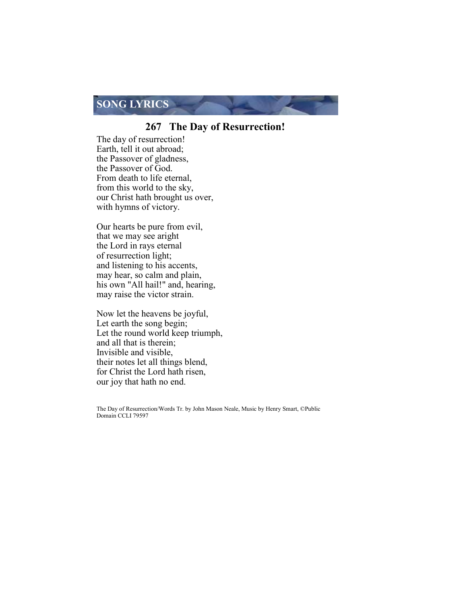# **SONG LYRICS**

# **267 The Day of Resurrection!**

The day of resurrection! Earth, tell it out abroad; the Passover of gladness, the Passover of God. From death to life eternal, from this world to the sky, our Christ hath brought us over, with hymns of victory.

Our hearts be pure from evil, that we may see aright the Lord in rays eternal of resurrection light; and listening to his accents, may hear, so calm and plain, his own "All hail!" and, hearing, may raise the victor strain.

Now let the heavens be joyful, Let earth the song begin; Let the round world keep triumph, and all that is therein; Invisible and visible, their notes let all things blend, for Christ the Lord hath risen, our joy that hath no end.

The Day of Resurrection/Words Tr. by John Mason Neale, Music by Henry Smart, ©Public Domain CCLI 79597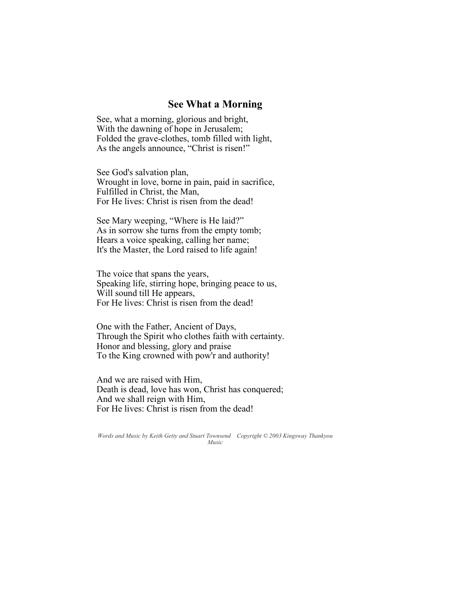### **See What a Morning**

See, what a morning, glorious and bright, With the dawning of hope in Jerusalem; Folded the grave-clothes, tomb filled with light, As the angels announce, "Christ is risen!"

See God's salvation plan, Wrought in love, borne in pain, paid in sacrifice, Fulfilled in Christ, the Man, For He lives: Christ is risen from the dead!

See Mary weeping, "Where is He laid?" As in sorrow she turns from the empty tomb; Hears a voice speaking, calling her name; It's the Master, the Lord raised to life again!

The voice that spans the years, Speaking life, stirring hope, bringing peace to us, Will sound till He appears, For He lives: Christ is risen from the dead!

One with the Father, Ancient of Days, Through the Spirit who clothes faith with certainty. Honor and blessing, glory and praise To the King crowned with pow'r and authority!

And we are raised with Him, Death is dead, love has won, Christ has conquered; And we shall reign with Him, For He lives: Christ is risen from the dead!

*Words and Music by Keith Getty and Stuart Townsend Copyright © 2003 Kingsway Thankyou Music*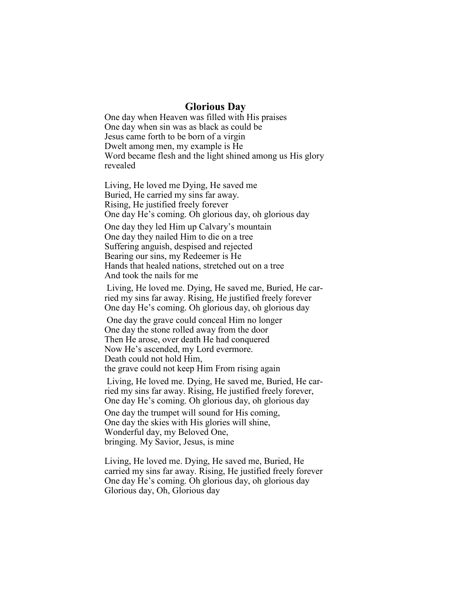### **Glorious Day**

One day when Heaven was filled with His praises One day when sin was as black as could be Jesus came forth to be born of a virgin Dwelt among men, my example is He Word became flesh and the light shined among us His glory revealed

Living, He loved me Dying, He saved me Buried, He carried my sins far away. Rising, He justified freely forever One day He's coming. Oh glorious day, oh glorious day

One day they led Him up Calvary's mountain One day they nailed Him to die on a tree Suffering anguish, despised and rejected Bearing our sins, my Redeemer is He Hands that healed nations, stretched out on a tree And took the nails for me

 Living, He loved me. Dying, He saved me, Buried, He carried my sins far away. Rising, He justified freely forever One day He's coming. Oh glorious day, oh glorious day

 One day the grave could conceal Him no longer One day the stone rolled away from the door Then He arose, over death He had conquered Now He's ascended, my Lord evermore. Death could not hold Him, the grave could not keep Him From rising again

 Living, He loved me. Dying, He saved me, Buried, He carried my sins far away. Rising, He justified freely forever, One day He's coming. Oh glorious day, oh glorious day

One day the trumpet will sound for His coming, One day the skies with His glories will shine, Wonderful day, my Beloved One, bringing. My Savior, Jesus, is mine

Living, He loved me. Dying, He saved me, Buried, He carried my sins far away. Rising, He justified freely forever One day He's coming. Oh glorious day, oh glorious day Glorious day, Oh, Glorious day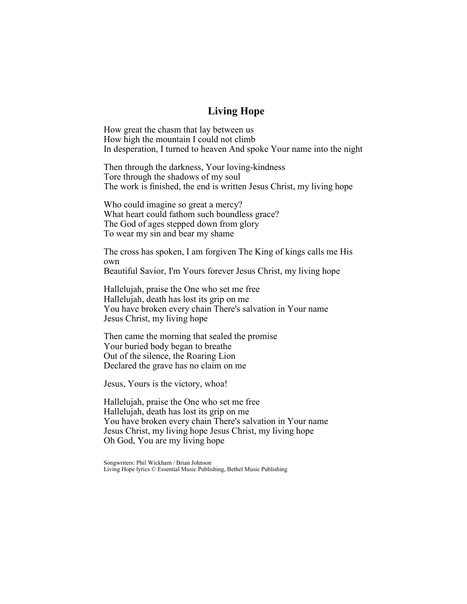# **Living Hope**

How great the chasm that lay between us How high the mountain I could not climb In desperation, I turned to heaven And spoke Your name into the night

Then through the darkness, Your loving-kindness Tore through the shadows of my soul The work is finished, the end is written Jesus Christ, my living hope

Who could imagine so great a mercy? What heart could fathom such boundless grace? The God of ages stepped down from glory To wear my sin and bear my shame

The cross has spoken, I am forgiven The King of kings calls me His own

Beautiful Savior, I'm Yours forever Jesus Christ, my living hope

Hallelujah, praise the One who set me free Hallelujah, death has lost its grip on me You have broken every chain There's salvation in Your name Jesus Christ, my living hope

Then came the morning that sealed the promise Your buried body began to breathe Out of the silence, the Roaring Lion Declared the grave has no claim on me

Jesus, Yours is the victory, whoa!

Hallelujah, praise the One who set me free Hallelujah, death has lost its grip on me You have broken every chain There's salvation in Your name Jesus Christ, my living hope Jesus Christ, my living hope Oh God, You are my living hope

Songwriters: Phil Wickham / Brian Johnson Living Hope lyrics © Essential Music Publishing, Bethel Music Publishing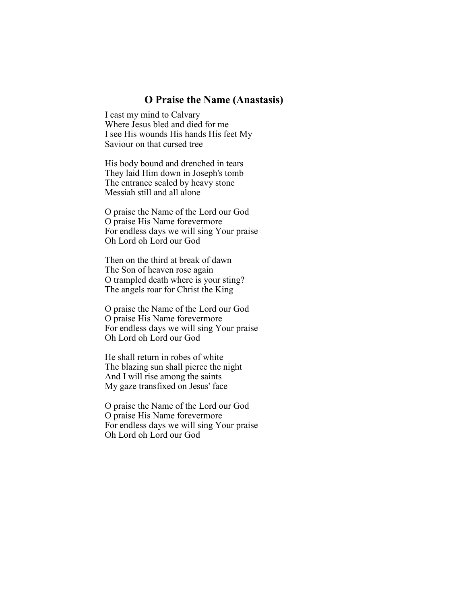# **O Praise the Name (Anastasis)**

I cast my mind to Calvary Where Jesus bled and died for me I see His wounds His hands His feet My Saviour on that cursed tree

His body bound and drenched in tears They laid Him down in Joseph's tomb The entrance sealed by heavy stone Messiah still and all alone

O praise the Name of the Lord our God O praise His Name forevermore For endless days we will sing Your praise Oh Lord oh Lord our God

Then on the third at break of dawn The Son of heaven rose again O trampled death where is your sting? The angels roar for Christ the King

O praise the Name of the Lord our God O praise His Name forevermore For endless days we will sing Your praise Oh Lord oh Lord our God

He shall return in robes of white The blazing sun shall pierce the night And I will rise among the saints My gaze transfixed on Jesus' face

O praise the Name of the Lord our God O praise His Name forevermore For endless days we will sing Your praise Oh Lord oh Lord our God